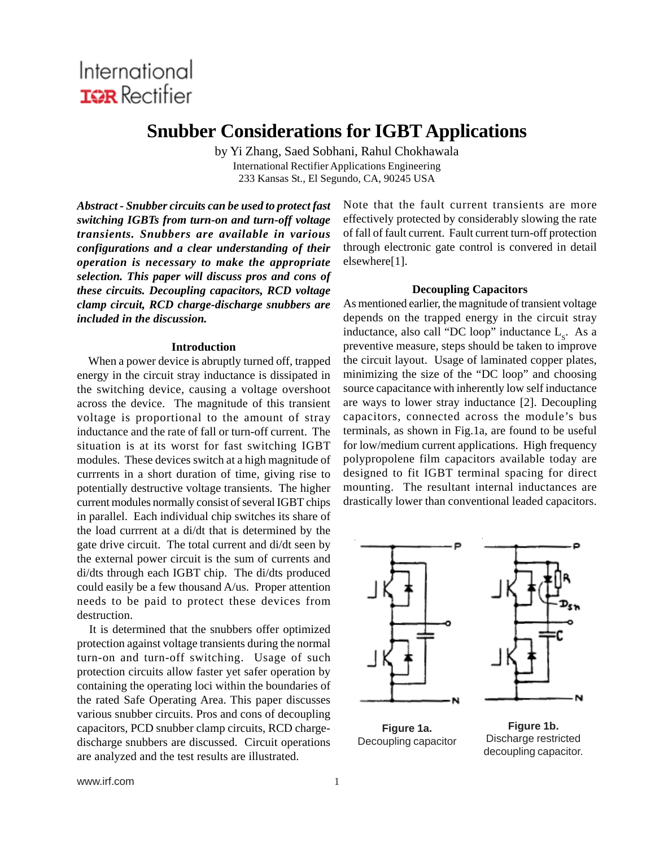# International **IGR** Rectifier

## **Snubber Considerations for IGBT Applications**

by Yi Zhang, Saed Sobhani, Rahul Chokhawala International Rectifier Applications Engineering 233 Kansas St., El Segundo, CA, 90245 USA

*Abstract - Snubber circuits can be used to protect fast switching IGBTs from turn-on and turn-off voltage transients. Snubbers are available in various configurations and a clear understanding of their operation is necessary to make the appropriate selection. This paper will discuss pros and cons of these circuits. Decoupling capacitors, RCD voltage clamp circuit, RCD charge-discharge snubbers are included in the discussion.*

## **Introduction**

 When a power device is abruptly turned off, trapped energy in the circuit stray inductance is dissipated in the switching device, causing a voltage overshoot across the device. The magnitude of this transient voltage is proportional to the amount of stray inductance and the rate of fall or turn-off current. The situation is at its worst for fast switching IGBT modules. These devices switch at a high magnitude of currrents in a short duration of time, giving rise to potentially destructive voltage transients. The higher current modules normally consist of several IGBT chips in parallel. Each individual chip switches its share of the load currrent at a di/dt that is determined by the gate drive circuit. The total current and di/dt seen by the external power circuit is the sum of currents and di/dts through each IGBT chip. The di/dts produced could easily be a few thousand A/us. Proper attention needs to be paid to protect these devices from destruction.

 It is determined that the snubbers offer optimized protection against voltage transients during the normal turn-on and turn-off switching. Usage of such protection circuits allow faster yet safer operation by containing the operating loci within the boundaries of the rated Safe Operating Area. This paper discusses various snubber circuits. Pros and cons of decoupling capacitors, PCD snubber clamp circuits, RCD chargedischarge snubbers are discussed. Circuit operations are analyzed and the test results are illustrated.

Note that the fault current transients are more effectively protected by considerably slowing the rate of fall of fault current. Fault current turn-off protection through electronic gate control is convered in detail elsewhere[1].

## **Decoupling Capacitors**

As mentioned earlier, the magnitude of transient voltage depends on the trapped energy in the circuit stray inductance, also call "DC loop" inductance  $L<sub>s</sub>$ . As a preventive measure, steps should be taken to improve the circuit layout. Usage of laminated copper plates, minimizing the size of the "DC loop" and choosing source capacitance with inherently low self inductance are ways to lower stray inductance [2]. Decoupling capacitors, connected across the module's bus terminals, as shown in Fig.1a, are found to be useful for low/medium current applications. High frequency polypropolene film capacitors available today are designed to fit IGBT terminal spacing for direct mounting. The resultant internal inductances are drastically lower than conventional leaded capacitors.



**Figure 1a.** Decoupling capacitor

**Figure 1b.** Discharge restricted decoupling capacitor.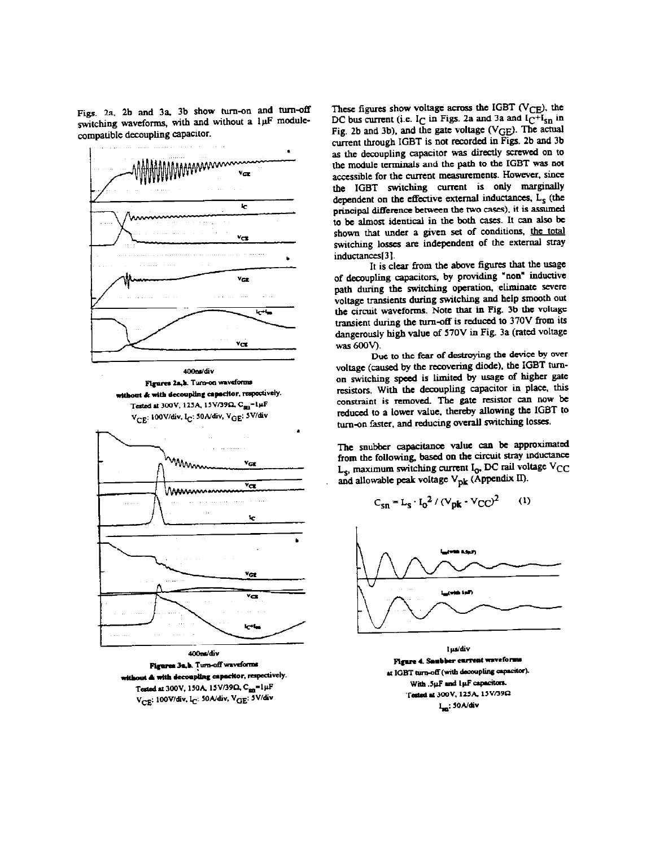Figs. 2a, 2b and 3a, 3b show turn-on and turn-off switching waveforms, with and without a luF modulecompatible decoupling capacitor.





Figures 3a.b. Turn-off waveforms at **&** with decoupling capacitor, respectively. Tested at 300V, 150A, 15V/39Q, C<sub>an</sub>=1µF V<sub>CE</sub>: 100V/div, I<sub>C</sub>: 50A/div, V<sub>GE</sub>: 5V/div

These figures show voltage across the IGBT ( $V_{\text{CE}}$ ), the DC bus current (i.e.  $I_C$  in Figs. 2a and 3a and  $I_C + I_{sn}$  in Fig. 2b and 3b), and the gate voltage (VGE). The actual current through IGBT is not recorded in Figs. 2b and 3b as the decoupling capacitor was directly screwed on to the module terminals and the path to the IGBT was not accessible for the current measurements. However, since the IGBT switching current is only marginally dependent on the effective external inductances, L<sub>s</sub> (the principal difference between the two cases), it is assumed to be almost identical in the both cases. It can also be shown that under a given set of conditions, the total switching losses are independent of the external stray inductances[3].

It is clear from the above figures that the usage of decoupling capacitors, by providing "non" inductive path during the switching operation, eliminate severe voltage transients during switching and help smooth out the circuit waveforms. Note that in Fig. 3b the voltage transient during the turn-off is reduced to 370V from its dangerously high value of 570V in Fig. 3a (rated voltage was 600V).

Due to the fear of destroying the device by over voltage (caused by the recovering diode), the IGBT turnon switching speed is limited by usage of higher gate resistors. With the decoupling capacitor in place, this constraint is removed. The gate resistor can now be reduced to a lower value, thereby allowing the IGBT to turn-on faster, and reducing overall switching losses.

The snubber capacitance value can be approximated from the following, based on the circuit stray inductance  $L_s$ , maximum switching current I<sub>0</sub>, DC rail voltage V<sub>CC</sub> and allowable peak voltage  $V_{\mathbf{p}\mathbf{k}}$  (Appendix II).

$$
C_{\rm sn} = L_{\rm s} \cdot I_0^2 / (V_{\rm pk} \cdot V_{\rm CC})^2 \qquad (1)
$$



l µs/div Figure 4. Sambber current waveforms at IGBT turn-off (with decoupling capacitor). With .5µF and 1µF capacitors. Tested at 300V, 125A, 15V/39Q I<sub>sn</sub>: 50A/div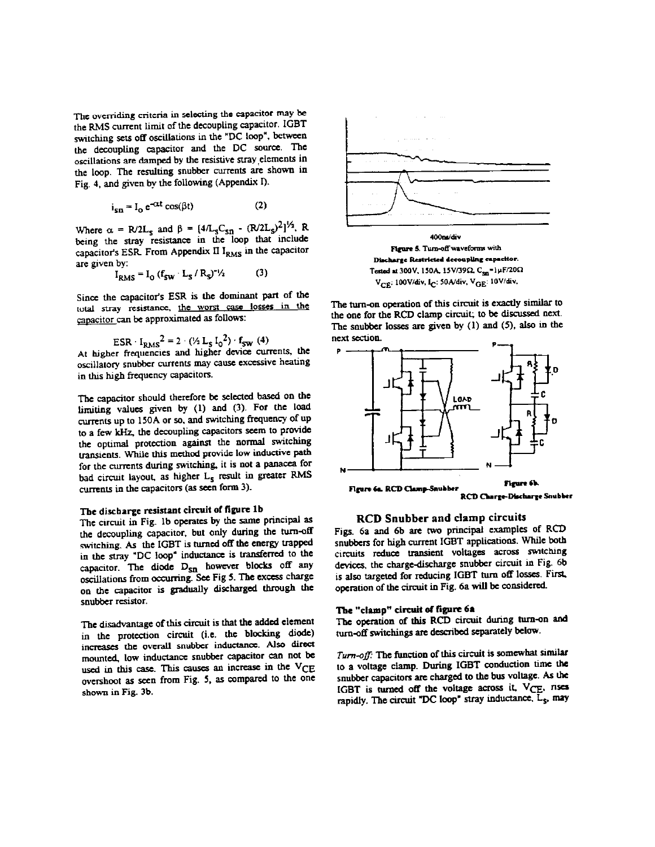The overriding criteria in selecting the capacitor may be the RMS current limit of the decoupling capacitor. IGBT switching sets off oscillations in the "DC loop", between the decoupling capacitor and the DC source. The oscillations are damped by the resistive stray elements in the loop. The resulting snubber currents are shown in Fig. 4, and given by the following (Appendix I).

$$
i_{\rm cr} = I_0 e^{-\alpha t} \cos(\beta t) \tag{2}
$$

Where  $\alpha$  = R/2L<sub>s</sub> and  $\beta$  =  $[4/L_sC_{\text{sn}} - (R/2L_s)^2]^{1/2}$ , R being the stray resistance in the loop that include capacitor's ESR. From Appendix II I<sub>RMS</sub> in the capacitor are given by:

$$
I_{RMS} = I_0 (f_{SW} \cdot L_S / R_S)^{-1/2}
$$
 (3)

Since the capacitor's ESR is the dominant part of the total stray resistance, the worst case losses in the capacitor can be approximated as follows:

$$
ESR \cdot I_{\text{DMS}}^2 = 2 \cdot (\frac{1}{2} L_s I_0^2) \cdot f_{\text{SW}}^2
$$
 (4)

At higher frequencies and higher device currents, the oscillatory snubber currents may cause excessive heating in this high frequency capacitors.

The capacitor should therefore be selected based on the limiting values given by (1) and (3). For the load currents up to 150A or so, and switching frequency of up to a few kHz, the decoupling capacitors seem to provide the optimal protection against the normal switching transients. While this method provide low inductive path for the currents during switching, it is not a panacea for bad circuit layout, as higher L<sub>s</sub> result in greater RMS currents in the capacitors (as seen form 3).

## The discharge resistant circuit of figure 1b

The circuit in Fig. 1b operates by the same principal as the decoupling capacitor, but only during the turn-off switching. As the IGBT is turned off the energy trapped in the stray "DC loop" inductance is transferred to the capacitor. The diode D<sub>SD</sub> however blocks off any oscillations from occurring. See Fig 5. The excess charge on the capacitor is gradually discharged through the snubber resistor.

The disadvantage of this circuit is that the added element in the protection circuit (i.e. the blocking diode) increases the overall snubber inductance. Also direct mounted, low inductance snubber capacitor can not be used in this case. This causes an increase in the VCE overshoot as seen from Fig. 5, as compared to the one shown in Fig. 3b.



400ns/div Figure 5. Turn-off waveforms with Discharge Restricted decoupling capacitor. Tested at 300V, 150A, 15V/39 $\Omega$ , C<sub>sn</sub>=1µF/20 $\Omega$ V<sub>CE</sub>: 100V/div, I<sub>C</sub>: 50A/div, V<sub>GE</sub>: 10V/div,

The turn-on operation of this circuit is exactly similar to the one for the RCD clamp circuit; to be discussed next. The snubber losses are given by (1) and (5), also in the next section.



## **RCD Snubber and clamp circuits**

Figs. 6a and 6b are two principal examples of RCD snubbers for high current IGBT applications. While both circuits reduce transient voltages across switching devices, the charge-discharge snubber circuit in Fig. 6b is also targeted for reducing IGBT turn off losses. First, operation of the circuit in Fig. 6a will be considered.

#### The "clamp" circuit of figure 6a

The operation of this RCD circuit during turn-on and turn-off switchings are described separately below.

Turn-off: The function of this circuit is somewhat similar to a voltage clamp. During IGBT conduction time the snubber capacitors are charged to the bus voltage. As the IGBT is turned off the voltage across it, VCE, rises rapidly. The circuit "DC loop" stray inductance,  $\overline{L}_s$ , may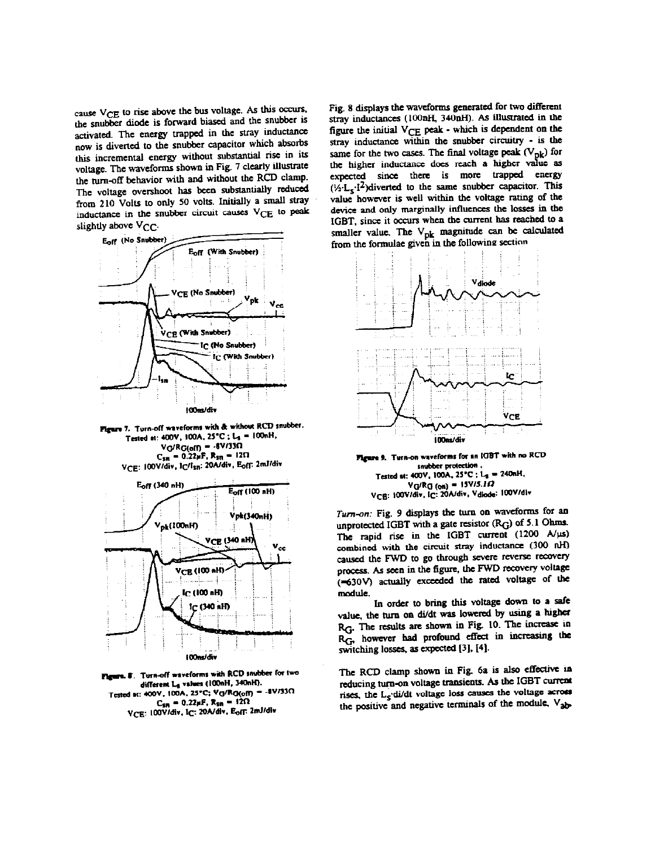cause VCE to rise above the bus voltage. As this occurs, the snubber diode is forward biased and the snubber is activated. The energy trapped in the stray inductance now is diverted to the snubber capacitor which absorbs this incremental energy without substantial rise in its voltage. The waveforms shown in Fig. 7 clearly illustrate the turn-off behavior with and without the RCD clamp. The voltage overshoot has been substantially reduced from 210 Volts to only 50 volts. Initially a small stray inductance in the snubber circuit causes VCE to peak slightly above  $V_{CC}$ .



Figure 7. Turn-off waveforms with & without RCD snubber. Tested at: 400V, 100A, 25°C; L<sub>3</sub> = 100nH,  $VG/RG(off) = -6V/33\Omega$  $C_{\rm SR} = 0.22 \mu F$ , R<sub>SR</sub> = 12 $\Omega$ VCE: 100V/div, IC/Isn: 20A/div, Eoff: 2mJ/div



u. 8. Turn-off waveforms with RCD snubber for two different La values (100nH, 340nH). Tested at: 400V, 100A, 25°C; Vg/Rg(off) = -8V/330  $C_{\rm SR} = 0.22 \mu F$ , R<sub>SB</sub> = 12 $\Omega$ VCE: 100V/div, IC: 20A/div, Eoff: 2mJ/div

Fig. 8 displays the waveforms generated for two different stray inductances (100nH, 340nH). As illustrated in the figure the initial  $V_{CE}$  peak - which is dependent on the stray inductance within the snubber circuitry - is the same for the two cases. The final voltage peak  $(V_{pk})$  for the higher inductance does reach a higher value as expected since there is more trapped energy  $(\frac{1}{2} \cdot L_s \cdot i^2)$  diverted to the same snubber capacitor. This value however is well within the voltage rating of the device and only marginally influences the losses in the IGBT, since it occurs when the current has reached to a smaller value. The V<sub>pk</sub> magnitude can be calculated from the formulae given in the following section



Figure 9. Turn-on waveforms for an IGBT with no RCD snubber protection Tested at: 400V, 100A, 25°C; L<sub>s</sub> = 240nH,  $VG/RG$  (on) = 15V/S.I $\Omega$ VCB: 100V/div, IC: 20A/div, Vdiode: 100V/div

Turn-on: Fig. 9 displays the turn on waveforms for an unprotected IGBT with a gate resistor  $(R_G)$  of 5.1 Ohms. The rapid rise in the IGBT current (1200 A/µs) combined with the circuit stray inductance (300 nH) caused the FWD to go through severe reverse recovery process. As seen in the figure, the FWD recovery voltage (=630V) actually exceeded the rated voltage of the module.

In order to bring this voltage down to a safe value, the turn on di/dt was lowered by using a higher RG. The results are shown in Fig. 10. The increase in RG, however had profound effect in increasing the switching losses, as expected [3], [4].

The RCD clamp shown in Fig. 6a is also effective in reducing turn-on voltage transients. As the IGBT current rises, the L<sub>s</sub>-di/dt voltage loss causes the voltage across the positive and negative terminals of the module, V<sub>ab-</sub>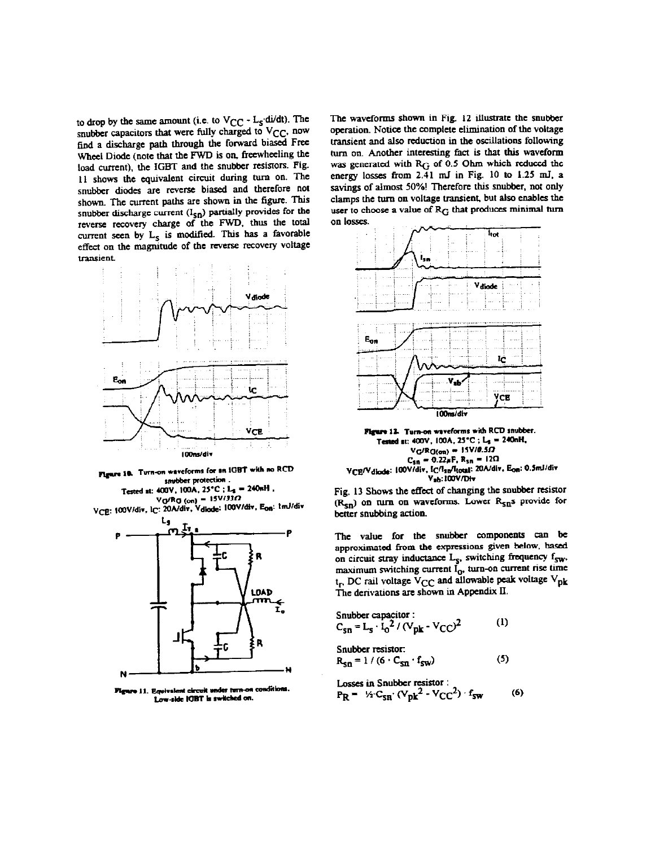to drop by the same amount (i.e. to  $V_{CC} - L_S \cdot \frac{di}{dt}$ ). The snubber capacitors that were fully charged to VCC, now find a discharge path through the forward biased Free Wheel Diode (note that the FWD is on, freewheeling the load current), the IGBT and the snubber resistors. Fig. 11 shows the equivalent circuit during turn on. The snubber diodes are reverse biased and therefore not shown. The current paths are shown in the figure. This snubber discharge current  $(I_{\text{sn}})$  partially provides for the reverse recovery charge of the FWD, thus the total current seen by  $L<sub>S</sub>$  is modified. This has a favorable effect on the magnitude of the reverse recovery voltage transient.



Figure 10. Turn-on waveforms for an IGBT with no RCD snubber protection

Tested at: 400V, 100A, 25°C; L<sub>2</sub> = 240nH, VG/Rg (on) = 15V/330<br>V<sub>CE</sub>: 100V/div, I<sub>C</sub>: 20A/div, Vdiode: 100V/div, E<sub>06</sub>: 1mJ/div



Figure 11. Equivalent circuit under turn-on conditions Low-side IGBT is switched on.

The waveforms shown in Fig. 12 illustrate the snubber operation. Notice the complete elimination of the voltage transient and also reduction in the oscillations following turn on. Another interesting fact is that this waveform was generated with R<sub>G</sub> of 0.5 Ohm which reduced the energy losses from 2.41 mJ in Fig. 10 to 1.25 mJ, a savings of aimost 50%! Therefore this snubber, not only clamps the turn on voltage transient, but also enables the user to choose a value of RG that produces minimal turn on losses.



Figure 12. Turn-on waveforms with RCD snubber. Tested st: 400V, 100A, 25°C; L<sub>2</sub> = 240nH,  $VG/RG(\sigma n) = 15V/0.5\Omega$  $C_{\rm sn} = 0.22 \mu F$ , R<sub>sn</sub> = 12 $\Omega$ VCE/Vdiode: 100V/div, IC/Isn/Itotal: 20A/div, Eon: 0.5mJ/div V<sub>ab</sub>: 100V/Div

Fig. 13 Shows the effect of changing the snubber resistor (R<sub>Sn</sub>) on turn on waveforms. Lower R<sub>Sn</sub>s provide for better snubbing action.

The value for the snubber components can be approximated from the expressions given below, based on circuit stray inductance  $L_s$ , switching frequency  $f_{sw}$ , maximum switching current  $I_0$ , turn-on current rise time<br> $t_r$  DC rail voltage  $V_{CC}$  and allowable peak voltage  $V_{pk}$ The derivations are shown in Appendix II.

$$
C_{\rm SB} = L_{\rm s} \cdot I_0^2 / (V_{\rm pk} \cdot V_{\rm CC})^2
$$
 (1)

Snubber resistor:

$$
R_{\rm sn} = 1 / (6 \cdot C_{\rm sn} \cdot f_{\rm sw})
$$
 (5)

Losses in Snubber resistor :  
P<sub>R</sub> = 
$$
\frac{1}{2} \cdot C_{SR} \cdot (V_{pk}^2 - V_{CC}^2) \cdot f_{sw}
$$
 (6)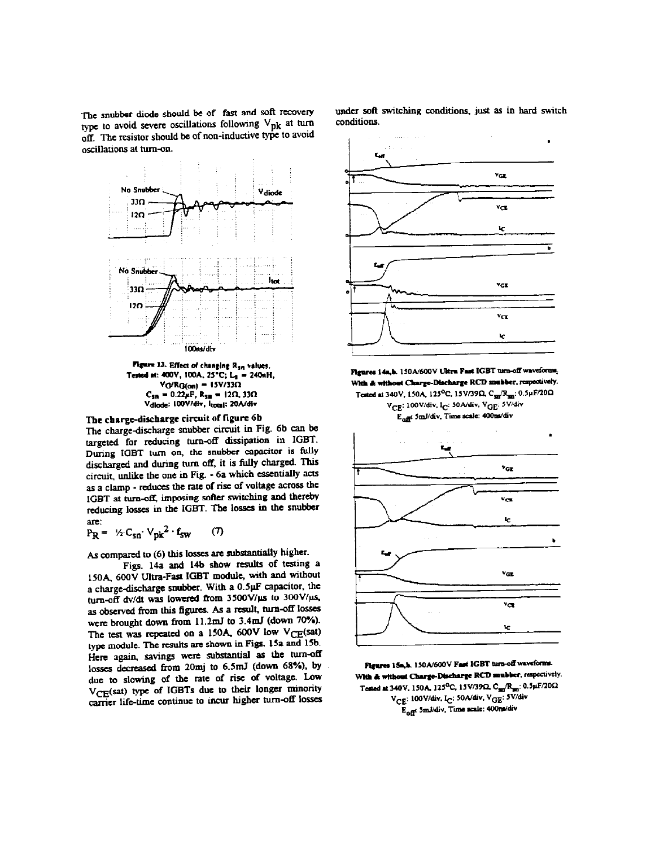The snubber diode should be of fast and soft recovery type to avoid severe oscillations following  $V_{\text{pk}}$  at turn off. The resistor should be of non-inductive type to avoid oscillations at turn-on.



Figure 13. Effect of changing R<sub>50</sub> values. Tested at: 400V, 100A, 25°C; L<sub>3</sub> = 240nH,  $VG/RG(on) = 15V/33\Omega$  $C_{\rm sn} = 0.22 \mu F$ ,  $R_{\rm sn} = 12 \Omega$ , 33 $\Omega$ Vdiode: 100V/div, Itotal: 20A/div

The charge-discharge circuit of figure 6b The charge-discharge snubber circuit in Fig. 6b can be targeted for reducing turn-off dissipation in IGBT. During IGBT turn on, the snubber capacitor is fully discharged and during turn off, it is fully charged. This circuit, unlike the one in Fig. - 6a which essentially acts as a clamp - reduces the rate of rise of voltage across the IGBT at turn-off, imposing softer switching and thereby reducing losses in the IGBT. The losses in the snubber are<sup>\*</sup>

$$
P_R = \mathcal{V}_1 C_{sn} \cdot V_{pk}^2 \cdot f_{sw} \qquad (7)
$$

As compared to (6) this losses are substantially higher.

Figs. 14a and 14b show results of testing a 150A, 600V Ultra-Fast IGBT module, with and without a charge-discharge snubber. With a 0.5µF capacitor, the turn-off dv/dt was lowered from 3500V/µs to 300V/µs, as observed from this figures. As a result, turn-off losses were brought down from 11.2mJ to 3.4mJ (down 70%). The test was repeated on a 150A, 600V low VCE(sat) type module. The results are shown in Figs. 15a and 15b. Here again, savings were substantial as the turn-off losses decreased from 20mj to 6.5mJ (down 68%), by due to slowing of the rate of rise of voltage. Low VCE(sat) type of IGBTs due to their longer minority carrier life-time continue to incur higher turn-off losses under soft switching conditions, just as in hard switch conditions.



Figures 14s,b. 150A/600V Ultra Fast IGBT turn-off waveforms, With & without Charge-Discharge RCD snubber, respectively. Tested at 340V, 150A, 125<sup>o</sup>C, 15V/39Q, C<sub>30</sub>/R<sub>30</sub>: 0.5µF/20Q

V<sub>CE</sub>: 100V/div, I<sub>C</sub>: 50A/div, V<sub>GE</sub>: 5V/div Eoff 5mJ/div, Time scale: 400m/div



Figures 15a,h. 150A/600V Fast IGBT turn-off waveforms. With & without Charge-Discharge RCD snubber, respectively. Tested at 340V, 150A, 125°C, 15V/39Q, Csm/R<sub>3m</sub>: 0.5µF/20Q V<sub>CE</sub>: 100V/div, I<sub>C</sub>: 50A/div, V<sub>GE</sub>: 5V/div E<sub>off</sub> 5ml/div, Time scale: 400ml/div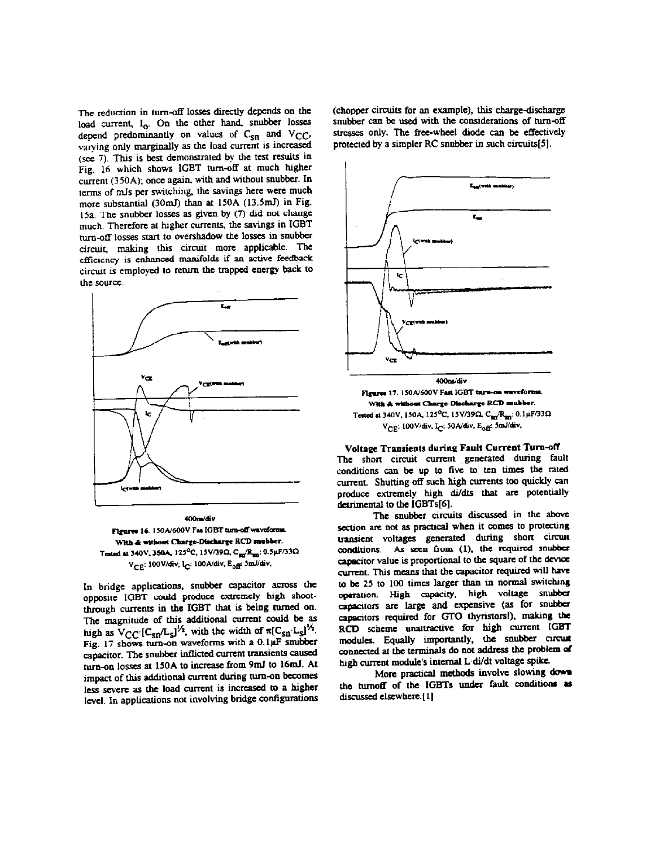The reduction in turn-off losses directly depends on the load current, I<sub>o</sub>. On the other hand, snubber losses depend predominantly on values of  $C_{\text{sn}}$  and  $V_{\text{CC}}$ , varying only marginally as the load current is increased (see 7). This is best demonstrated by the test results in Fig. 16 which shows IGBT turn-off at much higher current (350A); once again, with and without snubber. In terms of mJs per switching, the savings here were much more substantial (30mJ) than at 150A (13.5mJ) in Fig. 15a. The snubber losses as given by (7) did not change much. Therefore at higher currents, the savings in IGBT turn-off losses start to overshadow the losses in snubber circuit, making this circuit more applicable. The efficiency is enhanced manifolds if an active feedback circuit is employed to return the trapped energy back to the source.



400m/div Figures 16. 150A/600V Fas IGBT turn-off waveforms. With & without Charge-Discharge RCD mubber. Tested at 340V, 350A, 125<sup>o</sup>C, 15V/39Q, C<sub>art</sub>/R<sub>an</sub>: 0.5µF/33Q Ver: 100V/div, Ic: 100A/div, Eoff 5mJ/div,

In bridge applications, snubber capacitor across the opposite IGBT could produce extremely high shootthrough currents in the IGBT that is being turned on. The magnitude of this additional current could be as high as  $V_{CC}$  [C<sub>SD</sub><sup>1/2</sup>, with the width of  $\pi$ [C<sub>SD</sub><sup>1/2</sup>. Fig. 17 shows turn-on waveforms with a 0.1µF snubber capacitor. The snubber inflicted current transients caused turn-on losses at 150A to increase from 9mJ to 16mJ. At impact of this additional current during turn-on becomes less severe as the load current is increased to a higher level. In applications not involving bridge configurations (chopper circuits for an example), this charge-discharge snubber can be used with the considerations of turn-off stresses only. The free-wheel diode can be effectively protected by a simpler RC snubber in such circuits[5].



Figures 17. 150A/600V Fast IGBT turn-on waveforms With A without Charge-Discharge RCD snubber. Tested at 340V, 150A, 125<sup>0</sup>C, 15V/39Q, C<sub>311</sub>/R<sub>501</sub>: 0.1µF/33Q V<sub>CE</sub>: 100V/div, I<sub>C</sub>: 50A/div, E<sub>off</sub>: 5mJ/div,

Voltage Transients during Fault Current Turn-off The short circuit current generated during fault conditions can be up to five to ten times the rated current. Shutting off such high currents too quickly can produce extremely high di/dts that are potentially detrimental to the IGBTs[6].

The snubber circuits discussed in the above section are not as practical when it comes to protecting transient voltages generated during short circuit conditions. As seen from (1), the required snubber capacitor value is proportional to the square of the device current. This means that the capacitor required will have to be 25 to 100 times larger than in normal switching operation. High capacity, high voltage snubber capacitors are large and expensive (as for snubber capacitors required for GTO thyristors!), making the RCD scheme unattractive for high current IGBT modules. Equally importantly, the snubber circuit connected at the terminals do not address the problem of high current module's internal L di/dt voltage spike.

More practical methods involve slowing down the turnoff of the IGBTs under fault conditions as discussed elsewhere.[1]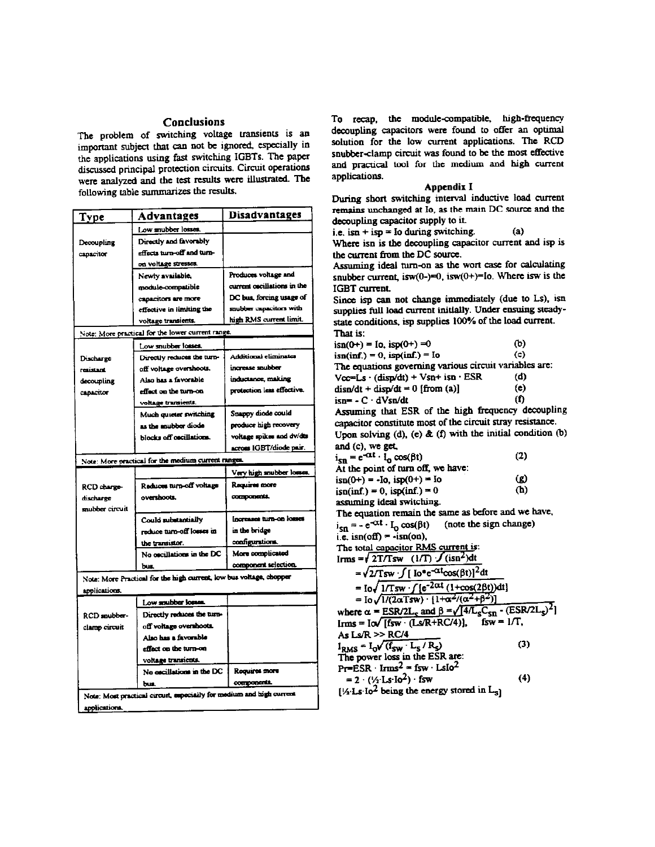## **Conclusions**

The problem of switching voltage transients is an important subject that can not be ignored, especially in the applications using fast switching IGBTs. The paper discussed principal protection circuits. Circuit operations were analyzed and the test results were illustrated. The following table summarizes the results.

| Low snubber losses.<br>Directly and favorably<br>Decoupling<br>effects turn-off and turn-<br>capacitor<br>on voltage stresses.<br>Produces voltage and<br>Newly available,<br>current oscillations in the<br>module-compatible<br>DC bus, forcing usage of<br>capacitors are more<br>snubber capacitors with<br>effective in limiting the<br>high RMS current limit.<br>voltage transients.<br>Note: More practical for the lower current range.<br>Low snubber losses.<br>Additional eliminates<br>Directly reduces the turn-<br>Discharge<br>increase snubber<br>off voltage overshoots.<br>resistant<br>inductance, making<br>Also has a favorable<br>decoupling<br>protection less effective.<br>effect on the turn-on<br>capacitor<br>voltage transients.<br>Snappy diode could<br>Much quieter switching<br>produce high recovery<br>as the snubber diode<br>voltage spikes and dv/dts<br>blocks off oscillations.<br>across IGBT/diode pair.<br>Note: More practical for the medium current ranges.<br>Very high snubber losses.<br>Requires more<br>Reduces turn-off voltage<br>RCD charge-<br>components.<br>overshoots.<br>discharge<br>snubber circuit<br>Increases turn-on losses<br>Could substantially<br>in the bridge<br>reduce turn-off losses in<br>configurations.<br>the transistor.<br>More complicated<br>No oscillations in the DC<br>component selection.<br>bus.<br>Note: More Practical for the high current, low bus voltage, chopper<br>applications.<br>Low mubber losses.<br>Directly reduces the turn-<br>RCD spubber-<br>off voltage overshoots.<br>clamp circuit<br>Aiso has a favorable<br>effect on the turn-on<br>voltage transients. | <u>Type</u> | Advantages | <b>Disadvantages</b> |  |
|---------------------------------------------------------------------------------------------------------------------------------------------------------------------------------------------------------------------------------------------------------------------------------------------------------------------------------------------------------------------------------------------------------------------------------------------------------------------------------------------------------------------------------------------------------------------------------------------------------------------------------------------------------------------------------------------------------------------------------------------------------------------------------------------------------------------------------------------------------------------------------------------------------------------------------------------------------------------------------------------------------------------------------------------------------------------------------------------------------------------------------------------------------------------------------------------------------------------------------------------------------------------------------------------------------------------------------------------------------------------------------------------------------------------------------------------------------------------------------------------------------------------------------------------------------------------------------------------------------------------------------------------------------------------------|-------------|------------|----------------------|--|
|                                                                                                                                                                                                                                                                                                                                                                                                                                                                                                                                                                                                                                                                                                                                                                                                                                                                                                                                                                                                                                                                                                                                                                                                                                                                                                                                                                                                                                                                                                                                                                                                                                                                           |             |            |                      |  |
|                                                                                                                                                                                                                                                                                                                                                                                                                                                                                                                                                                                                                                                                                                                                                                                                                                                                                                                                                                                                                                                                                                                                                                                                                                                                                                                                                                                                                                                                                                                                                                                                                                                                           |             |            |                      |  |
|                                                                                                                                                                                                                                                                                                                                                                                                                                                                                                                                                                                                                                                                                                                                                                                                                                                                                                                                                                                                                                                                                                                                                                                                                                                                                                                                                                                                                                                                                                                                                                                                                                                                           |             |            |                      |  |
|                                                                                                                                                                                                                                                                                                                                                                                                                                                                                                                                                                                                                                                                                                                                                                                                                                                                                                                                                                                                                                                                                                                                                                                                                                                                                                                                                                                                                                                                                                                                                                                                                                                                           |             |            |                      |  |
|                                                                                                                                                                                                                                                                                                                                                                                                                                                                                                                                                                                                                                                                                                                                                                                                                                                                                                                                                                                                                                                                                                                                                                                                                                                                                                                                                                                                                                                                                                                                                                                                                                                                           |             |            |                      |  |
|                                                                                                                                                                                                                                                                                                                                                                                                                                                                                                                                                                                                                                                                                                                                                                                                                                                                                                                                                                                                                                                                                                                                                                                                                                                                                                                                                                                                                                                                                                                                                                                                                                                                           |             |            |                      |  |
|                                                                                                                                                                                                                                                                                                                                                                                                                                                                                                                                                                                                                                                                                                                                                                                                                                                                                                                                                                                                                                                                                                                                                                                                                                                                                                                                                                                                                                                                                                                                                                                                                                                                           |             |            |                      |  |
|                                                                                                                                                                                                                                                                                                                                                                                                                                                                                                                                                                                                                                                                                                                                                                                                                                                                                                                                                                                                                                                                                                                                                                                                                                                                                                                                                                                                                                                                                                                                                                                                                                                                           |             |            |                      |  |
|                                                                                                                                                                                                                                                                                                                                                                                                                                                                                                                                                                                                                                                                                                                                                                                                                                                                                                                                                                                                                                                                                                                                                                                                                                                                                                                                                                                                                                                                                                                                                                                                                                                                           |             |            |                      |  |
|                                                                                                                                                                                                                                                                                                                                                                                                                                                                                                                                                                                                                                                                                                                                                                                                                                                                                                                                                                                                                                                                                                                                                                                                                                                                                                                                                                                                                                                                                                                                                                                                                                                                           |             |            |                      |  |
|                                                                                                                                                                                                                                                                                                                                                                                                                                                                                                                                                                                                                                                                                                                                                                                                                                                                                                                                                                                                                                                                                                                                                                                                                                                                                                                                                                                                                                                                                                                                                                                                                                                                           |             |            |                      |  |
|                                                                                                                                                                                                                                                                                                                                                                                                                                                                                                                                                                                                                                                                                                                                                                                                                                                                                                                                                                                                                                                                                                                                                                                                                                                                                                                                                                                                                                                                                                                                                                                                                                                                           |             |            |                      |  |
|                                                                                                                                                                                                                                                                                                                                                                                                                                                                                                                                                                                                                                                                                                                                                                                                                                                                                                                                                                                                                                                                                                                                                                                                                                                                                                                                                                                                                                                                                                                                                                                                                                                                           |             |            |                      |  |
|                                                                                                                                                                                                                                                                                                                                                                                                                                                                                                                                                                                                                                                                                                                                                                                                                                                                                                                                                                                                                                                                                                                                                                                                                                                                                                                                                                                                                                                                                                                                                                                                                                                                           |             |            |                      |  |
|                                                                                                                                                                                                                                                                                                                                                                                                                                                                                                                                                                                                                                                                                                                                                                                                                                                                                                                                                                                                                                                                                                                                                                                                                                                                                                                                                                                                                                                                                                                                                                                                                                                                           |             |            |                      |  |
|                                                                                                                                                                                                                                                                                                                                                                                                                                                                                                                                                                                                                                                                                                                                                                                                                                                                                                                                                                                                                                                                                                                                                                                                                                                                                                                                                                                                                                                                                                                                                                                                                                                                           |             |            |                      |  |
|                                                                                                                                                                                                                                                                                                                                                                                                                                                                                                                                                                                                                                                                                                                                                                                                                                                                                                                                                                                                                                                                                                                                                                                                                                                                                                                                                                                                                                                                                                                                                                                                                                                                           |             |            |                      |  |
|                                                                                                                                                                                                                                                                                                                                                                                                                                                                                                                                                                                                                                                                                                                                                                                                                                                                                                                                                                                                                                                                                                                                                                                                                                                                                                                                                                                                                                                                                                                                                                                                                                                                           |             |            |                      |  |
|                                                                                                                                                                                                                                                                                                                                                                                                                                                                                                                                                                                                                                                                                                                                                                                                                                                                                                                                                                                                                                                                                                                                                                                                                                                                                                                                                                                                                                                                                                                                                                                                                                                                           |             |            |                      |  |
|                                                                                                                                                                                                                                                                                                                                                                                                                                                                                                                                                                                                                                                                                                                                                                                                                                                                                                                                                                                                                                                                                                                                                                                                                                                                                                                                                                                                                                                                                                                                                                                                                                                                           |             |            |                      |  |
|                                                                                                                                                                                                                                                                                                                                                                                                                                                                                                                                                                                                                                                                                                                                                                                                                                                                                                                                                                                                                                                                                                                                                                                                                                                                                                                                                                                                                                                                                                                                                                                                                                                                           |             |            |                      |  |
|                                                                                                                                                                                                                                                                                                                                                                                                                                                                                                                                                                                                                                                                                                                                                                                                                                                                                                                                                                                                                                                                                                                                                                                                                                                                                                                                                                                                                                                                                                                                                                                                                                                                           |             |            |                      |  |
|                                                                                                                                                                                                                                                                                                                                                                                                                                                                                                                                                                                                                                                                                                                                                                                                                                                                                                                                                                                                                                                                                                                                                                                                                                                                                                                                                                                                                                                                                                                                                                                                                                                                           |             |            |                      |  |
|                                                                                                                                                                                                                                                                                                                                                                                                                                                                                                                                                                                                                                                                                                                                                                                                                                                                                                                                                                                                                                                                                                                                                                                                                                                                                                                                                                                                                                                                                                                                                                                                                                                                           |             |            |                      |  |
|                                                                                                                                                                                                                                                                                                                                                                                                                                                                                                                                                                                                                                                                                                                                                                                                                                                                                                                                                                                                                                                                                                                                                                                                                                                                                                                                                                                                                                                                                                                                                                                                                                                                           |             |            |                      |  |
|                                                                                                                                                                                                                                                                                                                                                                                                                                                                                                                                                                                                                                                                                                                                                                                                                                                                                                                                                                                                                                                                                                                                                                                                                                                                                                                                                                                                                                                                                                                                                                                                                                                                           |             |            |                      |  |
|                                                                                                                                                                                                                                                                                                                                                                                                                                                                                                                                                                                                                                                                                                                                                                                                                                                                                                                                                                                                                                                                                                                                                                                                                                                                                                                                                                                                                                                                                                                                                                                                                                                                           |             |            |                      |  |
|                                                                                                                                                                                                                                                                                                                                                                                                                                                                                                                                                                                                                                                                                                                                                                                                                                                                                                                                                                                                                                                                                                                                                                                                                                                                                                                                                                                                                                                                                                                                                                                                                                                                           |             |            |                      |  |
|                                                                                                                                                                                                                                                                                                                                                                                                                                                                                                                                                                                                                                                                                                                                                                                                                                                                                                                                                                                                                                                                                                                                                                                                                                                                                                                                                                                                                                                                                                                                                                                                                                                                           |             |            |                      |  |
|                                                                                                                                                                                                                                                                                                                                                                                                                                                                                                                                                                                                                                                                                                                                                                                                                                                                                                                                                                                                                                                                                                                                                                                                                                                                                                                                                                                                                                                                                                                                                                                                                                                                           |             |            |                      |  |
|                                                                                                                                                                                                                                                                                                                                                                                                                                                                                                                                                                                                                                                                                                                                                                                                                                                                                                                                                                                                                                                                                                                                                                                                                                                                                                                                                                                                                                                                                                                                                                                                                                                                           |             |            |                      |  |
|                                                                                                                                                                                                                                                                                                                                                                                                                                                                                                                                                                                                                                                                                                                                                                                                                                                                                                                                                                                                                                                                                                                                                                                                                                                                                                                                                                                                                                                                                                                                                                                                                                                                           |             |            |                      |  |
|                                                                                                                                                                                                                                                                                                                                                                                                                                                                                                                                                                                                                                                                                                                                                                                                                                                                                                                                                                                                                                                                                                                                                                                                                                                                                                                                                                                                                                                                                                                                                                                                                                                                           |             |            |                      |  |
|                                                                                                                                                                                                                                                                                                                                                                                                                                                                                                                                                                                                                                                                                                                                                                                                                                                                                                                                                                                                                                                                                                                                                                                                                                                                                                                                                                                                                                                                                                                                                                                                                                                                           |             |            |                      |  |
|                                                                                                                                                                                                                                                                                                                                                                                                                                                                                                                                                                                                                                                                                                                                                                                                                                                                                                                                                                                                                                                                                                                                                                                                                                                                                                                                                                                                                                                                                                                                                                                                                                                                           |             |            |                      |  |
|                                                                                                                                                                                                                                                                                                                                                                                                                                                                                                                                                                                                                                                                                                                                                                                                                                                                                                                                                                                                                                                                                                                                                                                                                                                                                                                                                                                                                                                                                                                                                                                                                                                                           |             |            |                      |  |
|                                                                                                                                                                                                                                                                                                                                                                                                                                                                                                                                                                                                                                                                                                                                                                                                                                                                                                                                                                                                                                                                                                                                                                                                                                                                                                                                                                                                                                                                                                                                                                                                                                                                           |             |            |                      |  |
|                                                                                                                                                                                                                                                                                                                                                                                                                                                                                                                                                                                                                                                                                                                                                                                                                                                                                                                                                                                                                                                                                                                                                                                                                                                                                                                                                                                                                                                                                                                                                                                                                                                                           |             |            |                      |  |
| No oscillations in the DC<br>Requires more                                                                                                                                                                                                                                                                                                                                                                                                                                                                                                                                                                                                                                                                                                                                                                                                                                                                                                                                                                                                                                                                                                                                                                                                                                                                                                                                                                                                                                                                                                                                                                                                                                |             |            |                      |  |
| components.<br>bus.                                                                                                                                                                                                                                                                                                                                                                                                                                                                                                                                                                                                                                                                                                                                                                                                                                                                                                                                                                                                                                                                                                                                                                                                                                                                                                                                                                                                                                                                                                                                                                                                                                                       |             |            |                      |  |
| Note: Most practical circuit, especially for medium and high current                                                                                                                                                                                                                                                                                                                                                                                                                                                                                                                                                                                                                                                                                                                                                                                                                                                                                                                                                                                                                                                                                                                                                                                                                                                                                                                                                                                                                                                                                                                                                                                                      |             |            |                      |  |
| applications.                                                                                                                                                                                                                                                                                                                                                                                                                                                                                                                                                                                                                                                                                                                                                                                                                                                                                                                                                                                                                                                                                                                                                                                                                                                                                                                                                                                                                                                                                                                                                                                                                                                             |             |            |                      |  |

To recap, the module-compatible, high-frequency decoupling capacitors were found to offer an optimal solution for the low current applications. The RCD snubber-clamp circuit was found to be the most effective and practical tool for the medium and high current applications.

## Appendix I

During short switching interval inductive load current remains unchanged at Io, as the main DC source and the decoupling capacitor supply to it.

i.e.  $isn + isp =$  Io during switching.

Where isn is the decoupling capacitor current and isp is the current from the DC source.

 $(a)$ 

Assuming ideal turn-on as the wort case for calculating snubber current, is  $w(0-) = 0$ , is  $w(0+) = 10$ . Where is w is the IGBT current.

Since isp can not change immediately (due to Ls), isn supplies full load current initially. Under ensuing steadystate conditions, isp supplies 100% of the load current. That is:

| $\text{isn}(0+) = \text{Io}, \text{isp}(0+) = 0$              | ര)      |
|---------------------------------------------------------------|---------|
| $isn(int) = 0$ , $isp(int) = Io$                              | $\circ$ |
| The equations governing various circuit variables are:        |         |
| $Vcc=Ls \cdot (disp/dt) + Vsn + isn \cdot ESR$                | (d)     |
| $disn/dt + disp/dt = 0$ [from (a)]                            | (e)     |
| $is_n = -C \cdot dVsn/dt$                                     | (f)     |
| Assuming that ESR of the high frequency decoupling            |         |
| capacitor constitute most of the circuit stray resistance.    |         |
| Upon solving (d), (e) $\&$ (f) with the initial condition (b) |         |
| and (c), we get                                               |         |
| $i_{sn} = e^{-\alpha t} \cdot l_0 \cos(\beta t)$              | (2)     |
| At the point of turn off, we have:                            |         |
| $\text{isn}(0+) = -\text{lo}, \text{ isp}(0+) = \text{lo}$    | D)      |
|                                                               |         |

 $(h)$  $\text{isn}(inf.) = 0$ ,  $\text{isp}(inf.) = 0$ assuming ideal switching.

The equation remain the same as before and we have,  $i_{sn} = -e^{-\alpha t} \cdot I_0 \cos(\beta t)$  (note the sign change)<br>i.e.  $\sin(\text{off}) = -\sin(\text{on})$ , The total capacitor RMS current is:

Irms =  $\sqrt{2T/Tsw}$  (1/T)  $\sqrt{(isn^2)}dt$ 

$$
= \sqrt{2T\text{Sw} \cdot \int [\text{lo}^*e^{-\alpha t}\cos(\beta t)]^2 dt}
$$
  
\n
$$
= \text{Io}\sqrt{1/T\text{sw} \cdot \left[(e^{-2\alpha t} (1+\cos(2\beta t))dt]\right]}
$$
  
\n
$$
= \text{Io}\sqrt{1/(2\alpha T\text{sw}) \cdot \left[1+\alpha^2/(\alpha^2+\beta^2)\right]}
$$
  
\nwhere  $\alpha = \text{ESR}/2L_s$  and  $\beta = \sqrt{4/L_sC_{sn}} \cdot (\text{ESR}/2L_s)^2$   
\nIrms = IoV [fsw \cdot (Ls/R+RC/4)], fsw = 1/T,  
\nAs Ls/R >> RC/4  
\nI\_{RMS} = I\_0V (f\_{sw} \cdot L\_S / R\_s) (3)  
\nThe power loss in the ESR are:  
\nPT=ESR \cdot Irms<sup>2</sup> = fsw \cdot LsIo<sup>2</sup>  
\n $= 2 \cdot (\frac{1}{2}L\text{S} \cdot \text{lo} - 2) \cdot fsw$  (4)

 $[\frac{1}{2} \text{ Ls} \cdot \text{Io}^2$  being the energy stored in  $L_{\text{S}}$